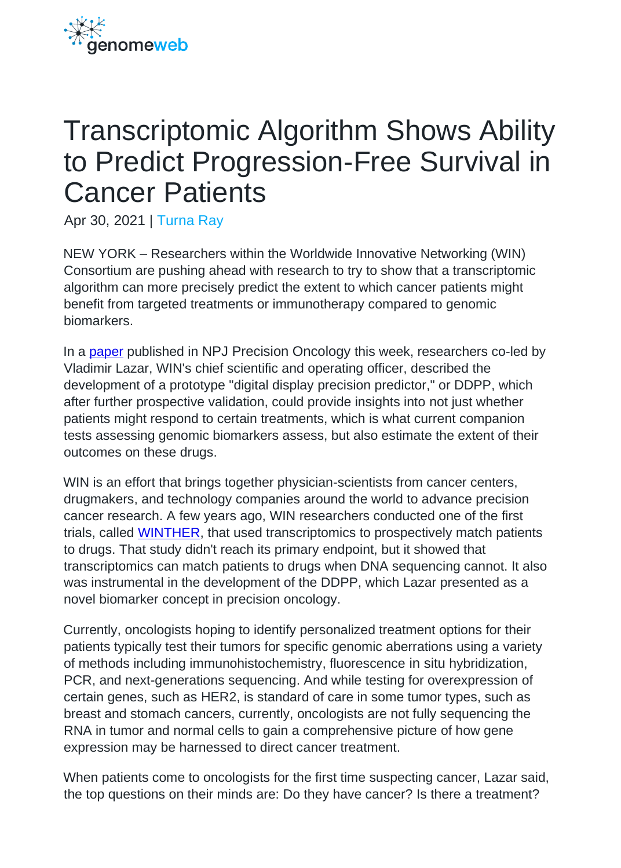

## Transcriptomic Algorithm Shows Ability to Predict Progression-Free Survival in Cancer Patients

Apr 30, 2021 | [Turna Ray](https://www.genomeweb.com/about-us/our-staff/turna-ray)

NEW YORK – Researchers within the Worldwide Innovative Networking (WIN) Consortium are pushing ahead with research to try to show that a transcriptomic algorithm can more precisely predict the extent to which cancer patients might benefit from targeted treatments or immunotherapy compared to genomic biomarkers.

In a [paper](https://www.nature.com/articles/s41698-021-00171-6) published in NPJ Precision Oncology this week, researchers co-led by Vladimir Lazar, WIN's chief scientific and operating officer, described the development of a prototype "digital display precision predictor," or DDPP, which after further prospective validation, could provide insights into not just whether patients might respond to certain treatments, which is what current companion tests assessing genomic biomarkers assess, but also estimate the extent of their outcomes on these drugs.

WIN is an effort that brings together physician-scientists from cancer centers, drugmakers, and technology companies around the world to advance precision cancer research. A few years ago, WIN researchers conducted one of the first trials, called [WINTHER,](https://www.genomeweb.com/sequencing/win-consortium-applies-transcriptomics-bolster-patient-matching-precision-oncology-study) that used transcriptomics to prospectively match patients to drugs. That study didn't reach its primary endpoint, but it showed that transcriptomics can match patients to drugs when DNA sequencing cannot. It also was instrumental in the development of the DDPP, which Lazar presented as a novel biomarker concept in precision oncology.

Currently, oncologists hoping to identify personalized treatment options for their patients typically test their tumors for specific genomic aberrations using a variety of methods including immunohistochemistry, fluorescence in situ hybridization, PCR, and next-generations sequencing. And while testing for overexpression of certain genes, such as HER2, is standard of care in some tumor types, such as breast and stomach cancers, currently, oncologists are not fully sequencing the RNA in tumor and normal cells to gain a comprehensive picture of how gene expression may be harnessed to direct cancer treatment.

When patients come to oncologists for the first time suspecting cancer, Lazar said, the top questions on their minds are: Do they have cancer? Is there a treatment?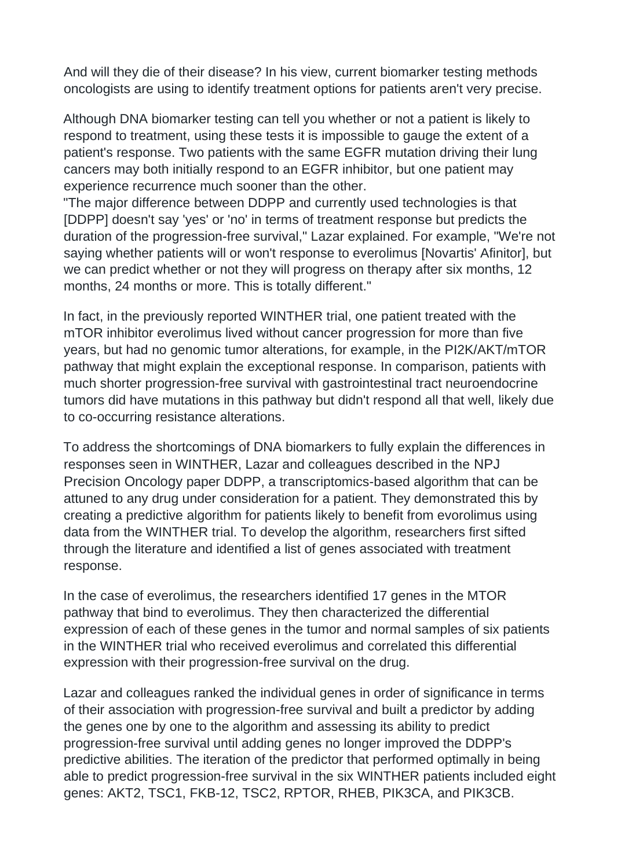And will they die of their disease? In his view, current biomarker testing methods oncologists are using to identify treatment options for patients aren't very precise.

Although DNA biomarker testing can tell you whether or not a patient is likely to respond to treatment, using these tests it is impossible to gauge the extent of a patient's response. Two patients with the same EGFR mutation driving their lung cancers may both initially respond to an EGFR inhibitor, but one patient may experience recurrence much sooner than the other.

"The major difference between DDPP and currently used technologies is that [DDPP] doesn't say 'yes' or 'no' in terms of treatment response but predicts the duration of the progression-free survival," Lazar explained. For example, "We're not saying whether patients will or won't response to everolimus [Novartis' Afinitor], but we can predict whether or not they will progress on therapy after six months, 12 months, 24 months or more. This is totally different."

In fact, in the previously reported WINTHER trial, one patient treated with the mTOR inhibitor everolimus lived without cancer progression for more than five years, but had no genomic tumor alterations, for example, in the PI2K/AKT/mTOR pathway that might explain the exceptional response. In comparison, patients with much shorter progression-free survival with gastrointestinal tract neuroendocrine tumors did have mutations in this pathway but didn't respond all that well, likely due to co-occurring resistance alterations.

To address the shortcomings of DNA biomarkers to fully explain the differences in responses seen in WINTHER, Lazar and colleagues described in the NPJ Precision Oncology paper DDPP, a transcriptomics-based algorithm that can be attuned to any drug under consideration for a patient. They demonstrated this by creating a predictive algorithm for patients likely to benefit from evorolimus using data from the WINTHER trial. To develop the algorithm, researchers first sifted through the literature and identified a list of genes associated with treatment response.

In the case of everolimus, the researchers identified 17 genes in the MTOR pathway that bind to everolimus. They then characterized the differential expression of each of these genes in the tumor and normal samples of six patients in the WINTHER trial who received everolimus and correlated this differential expression with their progression-free survival on the drug.

Lazar and colleagues ranked the individual genes in order of significance in terms of their association with progression-free survival and built a predictor by adding the genes one by one to the algorithm and assessing its ability to predict progression-free survival until adding genes no longer improved the DDPP's predictive abilities. The iteration of the predictor that performed optimally in being able to predict progression-free survival in the six WINTHER patients included eight genes: AKT2, TSC1, FKB-12, TSC2, RPTOR, RHEB, PIK3CA, and PIK3CB.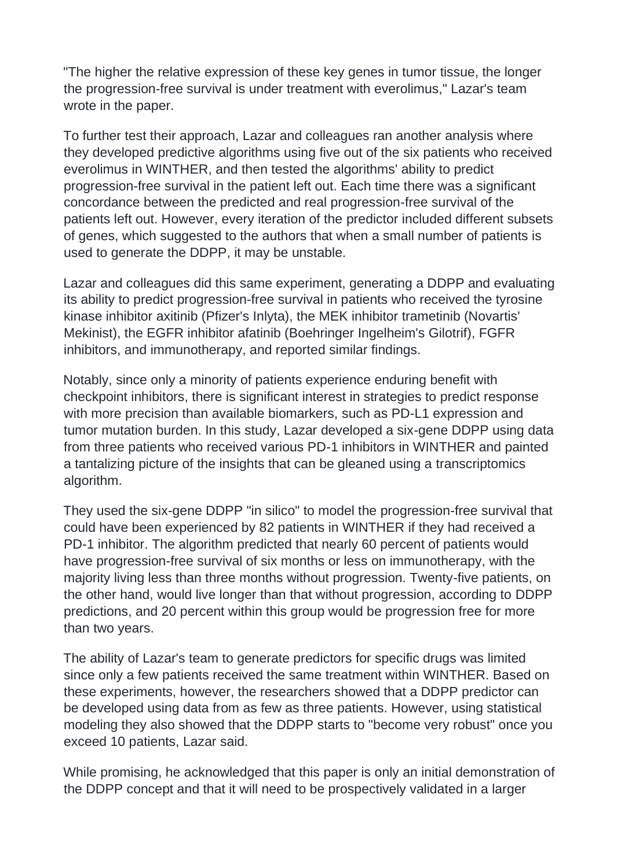"The higher the relative expression of these key genes in tumor tissue, the longer the progression-free survival is under treatment with everolimus," Lazar's team wrote in the paper.

To further test their approach, Lazar and colleagues ran another analysis where they developed predictive algorithms using five out of the six patients who received everolimus in WINTHER, and then tested the algorithms' ability to predict progression-free survival in the patient left out. Each time there was a significant concordance between the predicted and real progression-free survival of the patients left out. However, every iteration of the predictor included different subsets of genes, which suggested to the authors that when a small number of patients is used to generate the DDPP, it may be unstable.

Lazar and colleagues did this same experiment, generating a DDPP and evaluating its ability to predict progression-free survival in patients who received the tyrosine kinase inhibitor axitinib (Pfizer's Inlyta), the MEK inhibitor trametinib (Novartis' Mekinist), the EGFR inhibitor afatinib (Boehringer Ingelheim's Gilotrif), FGFR inhibitors, and immunotherapy, and reported similar findings.

Notably, since only a minority of patients experience enduring benefit with checkpoint inhibitors, there is significant interest in strategies to predict response with more precision than available biomarkers, such as PD-L1 expression and tumor mutation burden. In this study, Lazar developed a six-gene DDPP using data from three patients who received various PD-1 inhibitors in WINTHER and painted a tantalizing picture of the insights that can be gleaned using a transcriptomics algorithm.

They used the six-gene DDPP "in silico" to model the progression-free survival that could have been experienced by 82 patients in WINTHER if they had received a PD-1 inhibitor. The algorithm predicted that nearly 60 percent of patients would have progression-free survival of six months or less on immunotherapy, with the majority living less than three months without progression. Twenty-five patients, on the other hand, would live longer than that without progression, according to DDPP predictions, and 20 percent within this group would be progression free for more than two years.

The ability of Lazar's team to generate predictors for specific drugs was limited since only a few patients received the same treatment within WINTHER. Based on these experiments, however, the researchers showed that a DDPP predictor can be developed using data from as few as three patients. However, using statistical modeling they also showed that the DDPP starts to "become very robust" once you exceed 10 patients, Lazar said.

While promising, he acknowledged that this paper is only an initial demonstration of the DDPP concept and that it will need to be prospectively validated in a larger